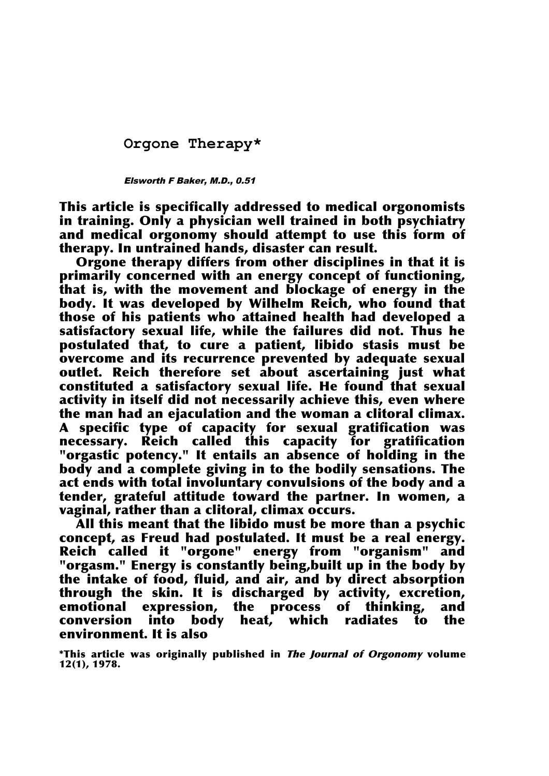## **Orgone Therapy\***

## Elsworth F Baker, M.D., 0.51

This article is specifically addressed to medical orgonomists in training. Only a physician well trained in both psychiatry and medical orgonomy should attempt to use this form of therapy. In untrained hands, disaster can result.

Orgone therapy differs from other disciplines in that it is primarily concerned with an energy concept of functioning, that is, with the movement and blockage of energy in the body. It was developed by Wilhelm Reich, who found that those of his patients who attained health had developed a satisfactory sexual life, while the failures did not. Thus he postulated that, to cure a patient, libido stasis must be overcome and its recurrence prevented by adequate sexual outlet. Reich therefore set about ascertaining just what constituted a satisfactory sexual life. He found that sexual activity in itself did not necessarily achieve this, even where the man had an ejaculation and the woman a clitoral climax. A specific type of capacity for sexual gratification was necessary. Reich called this capacity for gratification "orgastic potency." It entails an absence of holding in the body and a complete giving in to the bodily sensations. The act ends with total involuntary convulsions of the body and a tender, grateful attitude toward the partner. In women, a vaginal, rather than a clitoral, climax occurs.

All this meant that the libido must be more than a psychic concept, as Freud had postulated. It must be a real energy. Reich called it "orgone" energy from "organism" and "orgasm." Energy is constantly being,built up in the body by the intake of food, fluid, and air, and by direct absorption through the skin. It is discharged by activity, excretion, emotional expression, the process of thinking, and conversion into body heat, which radiates to the environment. It is also

\*This article was originally published in The Journal of Orgonomy volume 12(1), 1978.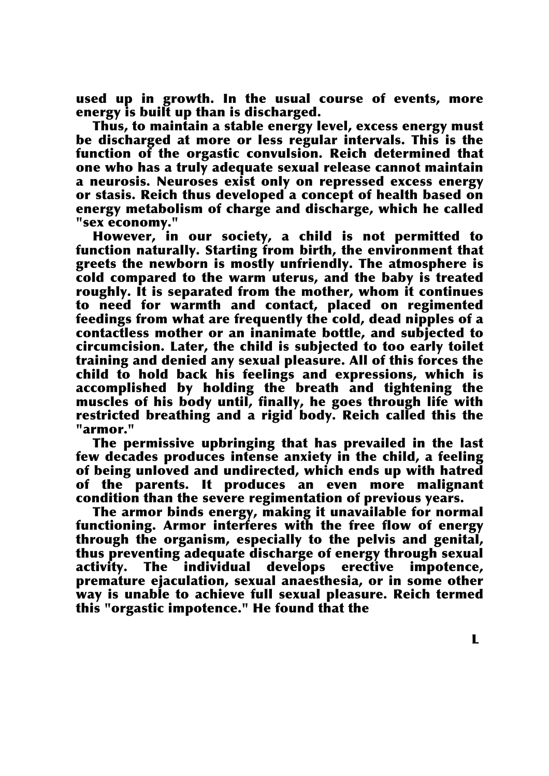used up in growth. In the usual course of events, more energy is built up than is discharged.

Thus, to maintain a stable energy level, excess energy must be discharged at more or less regular intervals. This is the function of the orgastic convulsion. Reich determined that one who has a truly adequate sexual release cannot maintain a neurosis. Neuroses exist only on repressed excess energy or stasis. Reich thus developed a concept of health based on energy metabolism of charge and discharge, which he called "sex economy."

However, in our society, a child is not permitted to function naturally. Starting from birth, the environment that greets the newborn is mostly unfriendly. The atmosphere is cold compared to the warm uterus, and the baby is treated roughly. It is separated from the mother, whom it continues to need for warmth and contact, placed on regimented feedings from what are frequently the cold, dead nipples of a contactless mother or an inanimate bottle, and subjected to circumcision. Later, the child is subjected to too early toilet training and denied any sexual pleasure. All of this forces the child to hold back his feelings and expressions, which is accomplished by holding the breath and tightening the muscles of his body until, finally, he goes through life with restricted breathing and a rigid body. Reich called this the "armor."

The permissive upbringing that has prevailed in the last few decades produces intense anxiety in the child, a feeling of being unloved and undirected, which ends up with hatred of the parents. It produces an even more malignant condition than the severe regimentation of previous years.

The armor binds energy, making it unavailable for normal functioning. Armor interferes with the free flow of energy through the organism, especially to the pelvis and genital, thus preventing adequate discharge of energy through sexual activity. The individual develops erective impotence, premature ejaculation, sexual anaesthesia, or in some other way is unable to achieve full sexual pleasure. Reich termed this "orgastic impotence." He found that the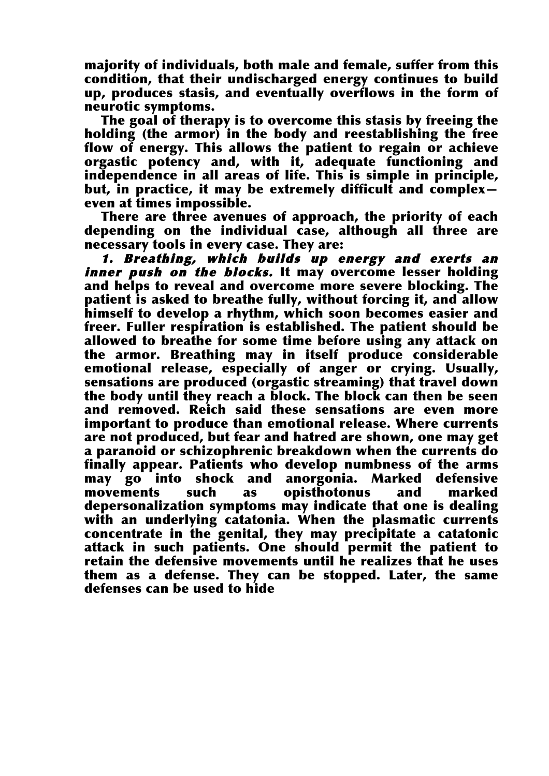majority of individuals, both male and female, suffer from this condition, that their undischarged energy continues to build up, produces stasis, and eventually overflows in the form of neurotic symptoms.

The goal of therapy is to overcome this stasis by freeing the holding (the armor) in the body and reestablishing the free flow of energy. This allows the patient to regain or achieve orgastic potency and, with it, adequate functioning and independence in all areas of life. This is simple in principle, but, in practice, it may be extremely difficult and complex even at times impossible.

There are three avenues of approach, the priority of each depending on the individual case, although all three are necessary tools in every case. They are:

1. Breathing, which builds up energy and exerts an inner push on the blocks. It may overcome lesser holding and helps to reveal and overcome more severe blocking. The patient is asked to breathe fully, without forcing it, and allow himself to develop a rhythm, which soon becomes easier and freer. Fuller respiration is established. The patient should be allowed to breathe for some time before using any attack on the armor. Breathing may in itself produce considerable emotional release, especially of anger or crying. Usually, sensations are produced (orgastic streaming) that travel down the body until they reach a block. The block can then be seen and removed. Reich said these sensations are even more important to produce than emotional release. Where currents are not produced, but fear and hatred are shown, one may get a paranoid or schizophrenic breakdown when the currents do finally appear. Patients who develop numbness of the arms may go into shock and anorgonia. Marked defensive movements such as opisthotonus and marked depersonalization symptoms may indicate that one is dealing with an underlying catatonia. When the plasmatic currents concentrate in the genital, they may precipitate a catatonic attack in such patients. One should permit the patient to retain the defensive movements until he realizes that he uses them as a defense. They can be stopped. Later, the same defenses can be used to hide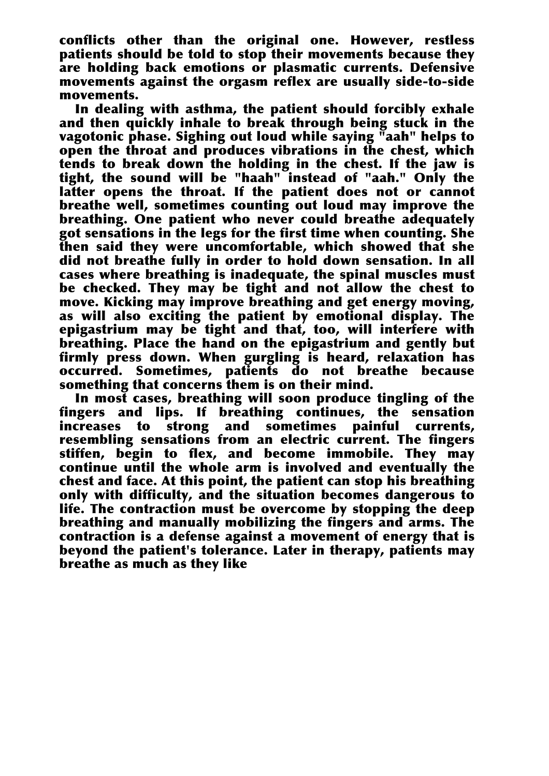conflicts other than the original one. However, restless patients should be told to stop their movements because they are holding back emotions or plasmatic currents. Defensive movements against the orgasm reflex are usually side-to-side movements.

In dealing with asthma, the patient should forcibly exhale and then quickly inhale to break through being stuck in the vagotonic phase. Sighing out loud while saying "aah" helps to open the throat and produces vibrations in the chest, which tends to break down the holding in the chest. If the jaw is tight, the sound will be "haah" instead of "aah." Only the latter opens the throat. If the patient does not or cannot breathe well, sometimes counting out loud may improve the breathing. One patient who never could breathe adequately got sensations in the legs for the first time when counting. She then said they were uncomfortable, which showed that she did not breathe fully in order to hold down sensation. In all cases where breathing is inadequate, the spinal muscles must be checked. They may be tight and not allow the chest to move. Kicking may improve breathing and get energy moving, as will also exciting the patient by emotional display. The epigastrium may be tight and that, too, will interfere with breathing. Place the hand on the epigastrium and gently but firmly press down. When gurgling is heard, relaxation has occurred. Sometimes, patients do not breathe because something that concerns them is on their mind.

In most cases, breathing will soon produce tingling of the fingers and lips. If breathing continues, the sensation increases to strong and sometimes painful currents, resembling sensations from an electric current. The fingers stiffen, begin to flex, and become immobile. They may continue until the whole arm is involved and eventually the chest and face. At this point, the patient can stop his breathing only with difficulty, and the situation becomes dangerous to life. The contraction must be overcome by stopping the deep breathing and manually mobilizing the fingers and arms. The contraction is a defense against a movement of energy that is beyond the patient's tolerance. Later in therapy, patients may breathe as much as they like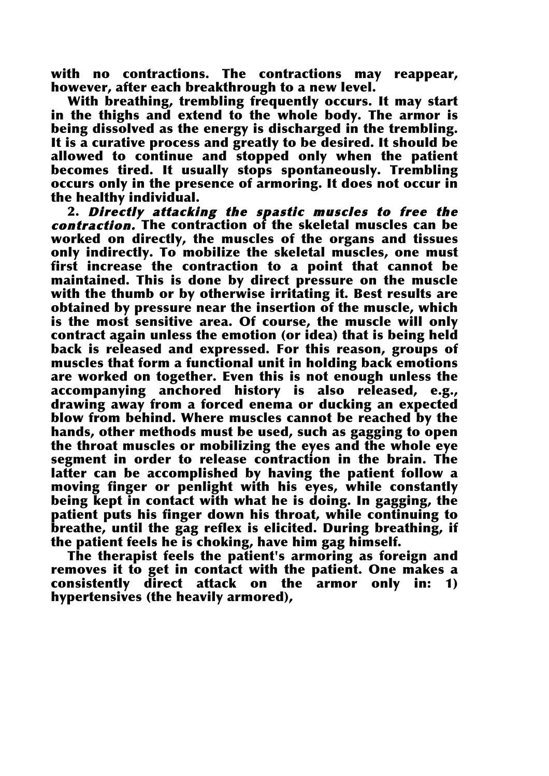with no contractions. The contractions may reappear, however, after each breakthrough to a new level.

With breathing, trembling frequently occurs. It may start in the thighs and extend to the whole body. The armor is being dissolved as the energy is discharged in the trembling. It is a curative process and greatly to be desired. It should be allowed to continue and stopped only when the patient becomes tired. It usually stops spontaneously. Trembling occurs only in the presence of armoring. It does not occur in the healthy individual.

2. Directly attacking the spastic muscles to free the contraction. The contraction of the skeletal muscles can be worked on directly, the muscles of the organs and tissues only indirectly. To mobilize the skeletal muscles, one must first increase the contraction to a point that cannot be maintained. This is done by direct pressure on the muscle with the thumb or by otherwise irritating it. Best results are obtained by pressure near the insertion of the muscle, which is the most sensitive area. Of course, the muscle will only contract again unless the emotion (or idea) that is being held back is released and expressed. For this reason, groups of muscles that form a functional unit in holding back emotions are worked on together. Even this is not enough unless the accompanying anchored history is also released, e.g., drawing away from a forced enema or ducking an expected blow from behind. Where muscles cannot be reached by the hands, other methods must be used, such as gagging to open the throat muscles or mobilizing the eyes and the whole eye segment in order to release contraction in the brain. The latter can be accomplished by having the patient follow a moving finger or penlight with his eyes, while constantly being kept in contact with what he is doing. In gagging, the patient puts his finger down his throat, while continuing to breathe, until the gag reflex is elicited. During breathing, if the patient feels he is choking, have him gag himself.

The therapist feels the patient's armoring as foreign and removes it to get in contact with the patient. One makes a consistently direct attack on the armor only in: 1) hypertensives (the heavily armored),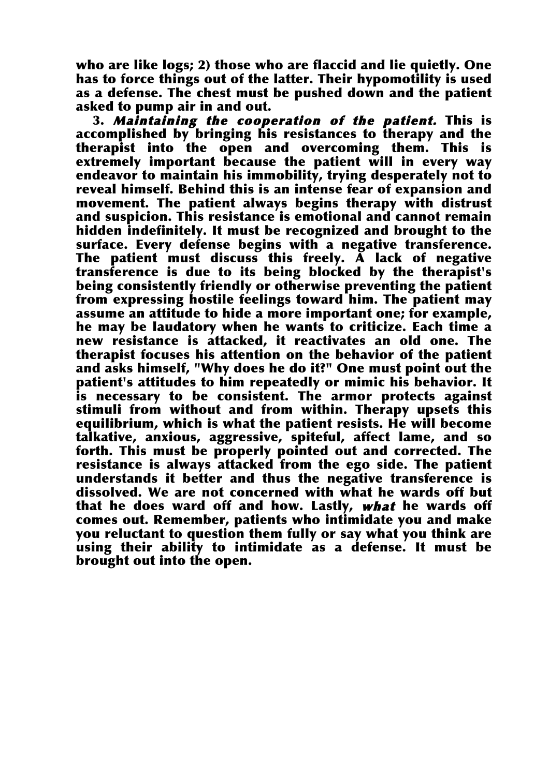who are like logs; 2) those who are flaccid and lie quietly. One has to force things out of the latter. Their hypomotility is used as a defense. The chest must be pushed down and the patient asked to pump air in and out.

3. Maintaining the cooperation of the patient. This is accomplished by bringing his resistances to therapy and the therapist into the open and overcoming them. This is extremely important because the patient will in every way endeavor to maintain his immobility, trying desperately not to reveal himself. Behind this is an intense fear of expansion and movement. The patient always begins therapy with distrust and suspicion. This resistance is emotional and cannot remain hidden indefinitely. It must be recognized and brought to the surface. Every defense begins with a negative transference. The patient must discuss this freely.  $\tilde{A}$  lack of negative transference is due to its being blocked by the therapist's being consistently friendly or otherwise preventing the patient from expressing hostile feelings toward him. The patient may assume an attitude to hide a more important one; for example, he may be laudatory when he wants to criticize. Each time a new resistance is attacked, it reactivates an old one. The therapist focuses his attention on the behavior of the patient and asks himself, "Why does he do it?" One must point out the patient's attitudes to him repeatedly or mimic his behavior. It is necessary to be consistent. The armor protects against stimuli from without and from within. Therapy upsets this equilibrium, which is what the patient resists. He will become talkative, anxious, aggressive, spiteful, affect lame, and so forth. This must be properly pointed out and corrected. The resistance is always attacked from the ego side. The patient understands it better and thus the negative transference is dissolved. We are not concerned with what he wards off but that he does ward off and how. Lastly, what he wards off comes out. Remember, patients who intimidate you and make you reluctant to question them fully or say what you think are using their ability to intimidate as a defense. It must be brought out into the open.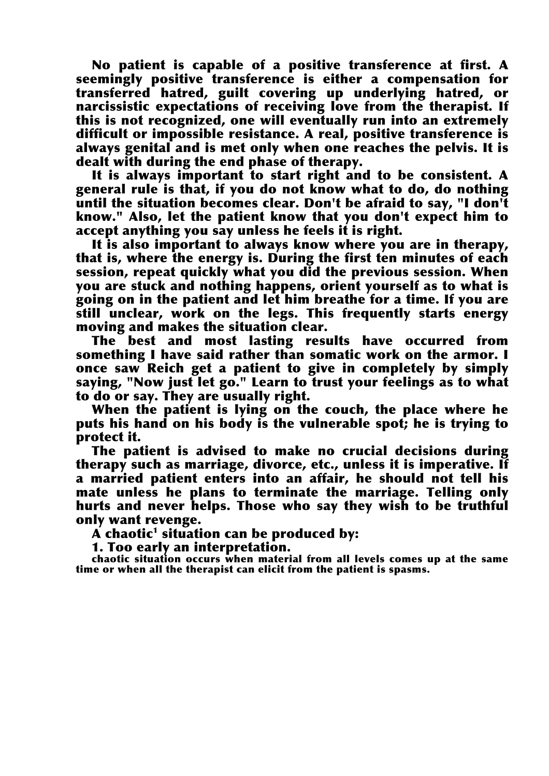No patient is capable of a positive transference at first. A seemingly positive transference is either a compensation for transferred hatred, guilt covering up underlying hatred, or narcissistic expectations of receiving love from the therapist. If this is not recognized, one will eventually run into an extremely difficult or impossible resistance. A real, positive transference is always genital and is met only when one reaches the pelvis. It is dealt with during the end phase of therapy.

It is always important to start right and to be consistent. A general rule is that, if you do not know what to do, do nothing until the situation becomes clear. Don't be afraid to say, "I don't know." Also, let the patient know that you don't expect him to accept anything you say unless he feels it is right.

It is also important to always know where you are in therapy, that is, where the energy is. During the first ten minutes of each session, repeat quickly what you did the previous session. When you are stuck and nothing happens, orient yourself as to what is going on in the patient and let him breathe for a time. If you are still unclear, work on the legs. This frequently starts energy moving and makes the situation clear.

The best and most lasting results have occurred from something I have said rather than somatic work on the armor. I once saw Reich get a patient to give in completely by simply saying, "Now just let go." Learn to trust your feelings as to what to do or say. They are usually right.

When the patient is lying on the couch, the place where he puts his hand on his body is the vulnerable spot; he is trying to protect it.

The patient is advised to make no crucial decisions during therapy such as marriage, divorce, etc., unless it is imperative. If a married patient enters into an affair, he should not tell his mate unless he plans to terminate the marriage. Telling only hurts and never helps. Those who say they wish to be truthful only want revenge.

 $\overline{A}$  chaotic<sup>1</sup> situation can be produced by:

1. Too early an interpretation.

chaotic situation occurs when material from all levels comes up at the same time or when all the therapist can elicit from the patient is spasms.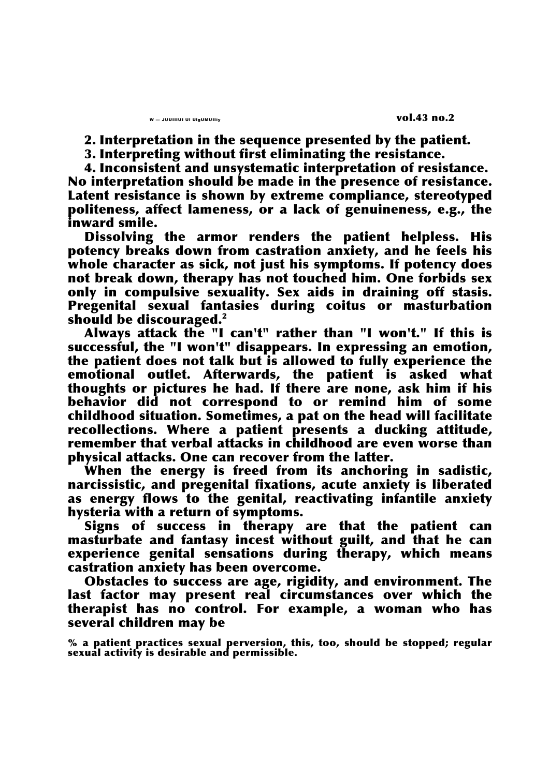2. Interpretation in the sequence presented by the patient.

3. Interpreting without first eliminating the resistance.

4. Inconsistent and unsystematic interpretation of resistance. No interpretation should be made in the presence of resistance. Latent resistance is shown by extreme compliance, stereotyped politeness, affect lameness, or a lack of genuineness, e.g., the inward smile.

Dissolving the armor renders the patient helpless. His potency breaks down from castration anxiety, and he feels his whole character as sick, not just his symptoms. If potency does not break down, therapy has not touched him. One forbids sex only in compulsive sexuality. Sex aids in draining off stasis. Pregenital sexual fantasies during coitus or masturbation should be discouraged. $2$ 

Always attack the "I can't" rather than "I won't." If this is successful, the "I won't" disappears. In expressing an emotion, the patient does not talk but is allowed to fully experience the emotional outlet. Afterwards, the patient is asked what thoughts or pictures he had. If there are none, ask him if his behavior did not correspond to or remind him of some childhood situation. Sometimes, a pat on the head will facilitate recollections. Where a patient presents a ducking attitude, remember that verbal attacks in childhood are even worse than physical attacks. One can recover from the latter.

When the energy is freed from its anchoring in sadistic, narcissistic, and pregenital fixations, acute anxiety is liberated as energy flows to the genital, reactivating infantile anxiety hysteria with a return of symptoms.

Signs of success in therapy are that the patient can masturbate and fantasy incest without guilt, and that he can experience genital sensations during therapy, which means castration anxiety has been overcome.

Obstacles to success are age, rigidity, and environment. The last factor may present real circumstances over which the therapist has no control. For example, a woman who has several children may be

% a patient practices sexual perversion, this, too, should be stopped; regular sexual activity is desirable and permissible.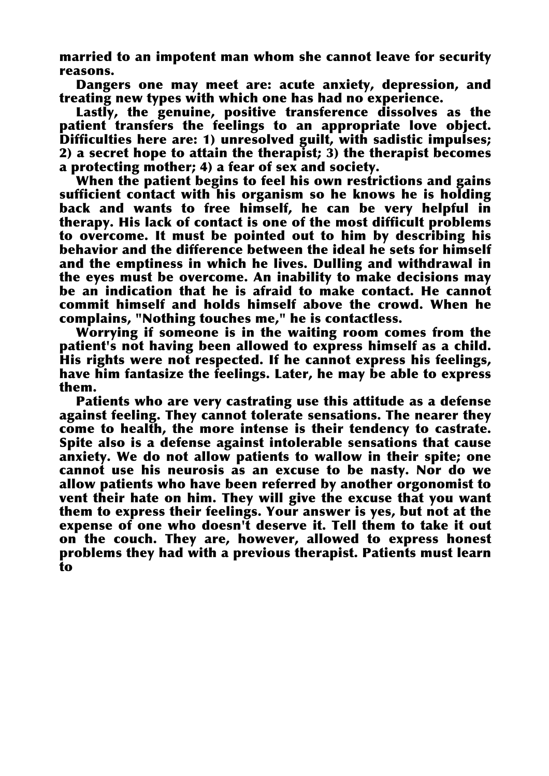married to an impotent man whom she cannot leave for security reasons.

Dangers one may meet are: acute anxiety, depression, and treating new types with which one has had no experience.

Lastly, the genuine, positive transference dissolves as the patient transfers the feelings to an appropriate love object. Difficulties here are: 1) unresolved guilt, with sadistic impulses; 2) a secret hope to attain the therapist; 3) the therapist becomes a protecting mother; 4) a fear of sex and society.

When the patient begins to feel his own restrictions and gains sufficient contact with his organism so he knows he is holding back and wants to free himself, he can be very helpful in therapy. His lack of contact is one of the most difficult problems to overcome. It must be pointed out to him by describing his behavior and the difference between the ideal he sets for himself and the emptiness in which he lives. Dulling and withdrawal in the eyes must be overcome. An inability to make decisions may be an indication that he is afraid to make contact. He cannot commit himself and holds himself above the crowd. When he complains, "Nothing touches me," he is contactless.

Worrying if someone is in the waiting room comes from the patient's not having been allowed to express himself as a child. His rights were not respected. If he cannot express his feelings, have him fantasize the feelings. Later, he may be able to express them.

Patients who are very castrating use this attitude as a defense against feeling. They cannot tolerate sensations. The nearer they come to health, the more intense is their tendency to castrate. Spite also is a defense against intolerable sensations that cause anxiety. We do not allow patients to wallow in their spite; one cannot use his neurosis as an excuse to be nasty. Nor do we allow patients who have been referred by another orgonomist to vent their hate on him. They will give the excuse that you want them to express their feelings. Your answer is yes, but not at the expense of one who doesn't deserve it. Tell them to take it out on the couch. They are, however, allowed to express honest problems they had with a previous therapist. Patients must learn to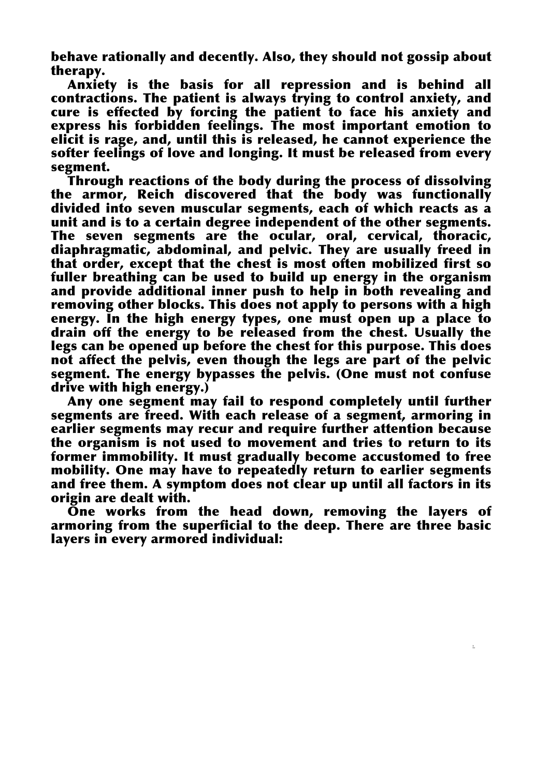behave rationally and decently. Also, they should not gossip about therapy.

Anxiety is the basis for all repression and is behind all contractions. The patient is always trying to control anxiety, and cure is effected by forcing the patient to face his anxiety and express his forbidden feelings. The most important emotion to elicit is rage, and, until this is released, he cannot experience the softer feelings of love and longing. It must be released from every segment.

Through reactions of the body during the process of dissolving the armor, Reich discovered that the body was functionally divided into seven muscular segments, each of which reacts as a unit and is to a certain degree independent of the other segments. The seven segments are the ocular, oral, cervical, thoracic, diaphragmatic, abdominal, and pelvic. They are usually freed in that order, except that the chest is most often mobilized first so fuller breathing can be used to build up energy in the organism and provide additional inner push to help in both revealing and removing other blocks. This does not apply to persons with a high energy. In the high energy types, one must open up a place to drain off the energy to be released from the chest. Usually the legs can be opened up before the chest for this purpose. This does not affect the pelvis, even though the legs are part of the pelvic segment. The energy bypasses the pelvis. (One must not confuse drive with high energy.)

Any one segment may fail to respond completely until further segments are freed. With each release of a segment, armoring in earlier segments may recur and require further attention because the organism is not used to movement and tries to return to its former immobility. It must gradually become accustomed to free mobility. One may have to repeatedly return to earlier segments and free them. A symptom does not clear up until all factors in its origin are dealt with.

One works from the head down, removing the layers of armoring from the superficial to the deep. There are three basic layers in every armored individual:

L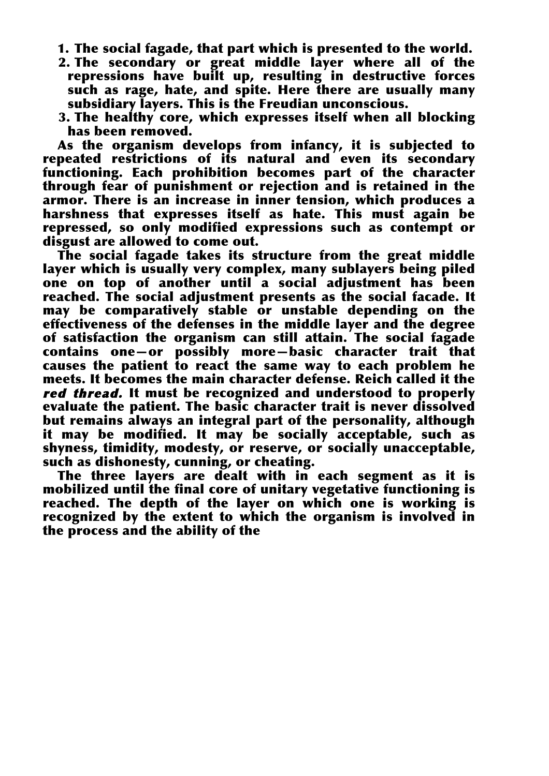- 1. The social fagade, that part which is presented to the world.
- 2. The secondary or great middle layer where all of the repressions have built up, resulting in destructive forces such as rage, hate, and spite. Here there are usually many subsidiary layers. This is the Freudian unconscious.
- 3. The healthy core, which expresses itself when all blocking has been removed.

As the organism develops from infancy, it is subjected to repeated restrictions of its natural and even its secondary functioning. Each prohibition becomes part of the character through fear of punishment or rejection and is retained in the armor. There is an increase in inner tension, which produces a harshness that expresses itself as hate. This must again be repressed, so only modified expressions such as contempt or disgust are allowed to come out.

The social fagade takes its structure from the great middle layer which is usually very complex, many sublayers being piled one on top of another until a social adjustment has been reached. The social adjustment presents as the social facade. It may be comparatively stable or unstable depending on the effectiveness of the defenses in the middle layer and the degree of satisfaction the organism can still attain. The social fagade contains one—or possibly more—basic character trait that causes the patient to react the same way to each problem he meets. It becomes the main character defense. Reich called it the red thread. It must be recognized and understood to properly evaluate the patient. The basic character trait is never dissolved but remains always an integral part of the personality, although it may be modified. It may be socially acceptable, such as shyness, timidity, modesty, or reserve, or socially unacceptable, such as dishonesty, cunning, or cheating.

The three layers are dealt with in each segment as it is mobilized until the final core of unitary vegetative functioning is reached. The depth of the layer on which one is working is recognized by the extent to which the organism is involved in the process and the ability of the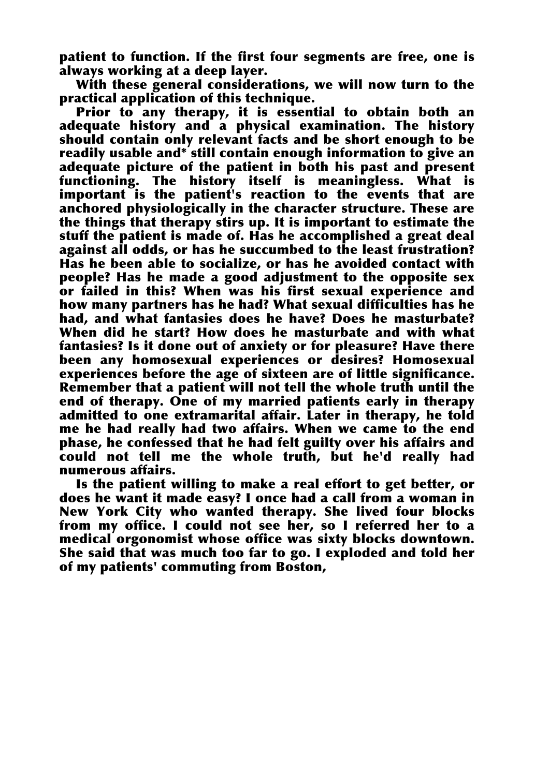patient to function. If the first four segments are free, one is always working at a deep layer.

With these general considerations, we will now turn to the practical application of this technique.

Prior to any therapy, it is essential to obtain both an adequate history and a physical examination. The history should contain only relevant facts and be short enough to be readily usable and\* still contain enough information to give an adequate picture of the patient in both his past and present functioning. The history itself is meaningless. What is important is the patient's reaction to the events that are anchored physiologically in the character structure. These are the things that therapy stirs up. It is important to estimate the stuff the patient is made of. Has he accomplished a great deal against all odds, or has he succumbed to the least frustration? Has he been able to socialize, or has he avoided contact with people? Has he made a good adjustment to the opposite sex or failed in this? When was his first sexual experience and how many partners has he had? What sexual difficulties has he had, and what fantasies does he have? Does he masturbate? When did he start? How does he masturbate and with what fantasies? Is it done out of anxiety or for pleasure? Have there been any homosexual experiences or desires? Homosexual experiences before the age of sixteen are of little significance. Remember that a patient will not tell the whole truth until the end of therapy. One of my married patients early in therapy admitted to one extramarital affair. Later in therapy, he told me he had really had two affairs. When we came to the end phase, he confessed that he had felt guilty over his affairs and could not tell me the whole truth, but he'd really had numerous affairs.

Is the patient willing to make a real effort to get better, or does he want it made easy? I once had a call from a woman in New York City who wanted therapy. She lived four blocks from my office. I could not see her, so I referred her to a medical orgonomist whose office was sixty blocks downtown. She said that was much too far to go. I exploded and told her of my patients' commuting from Boston,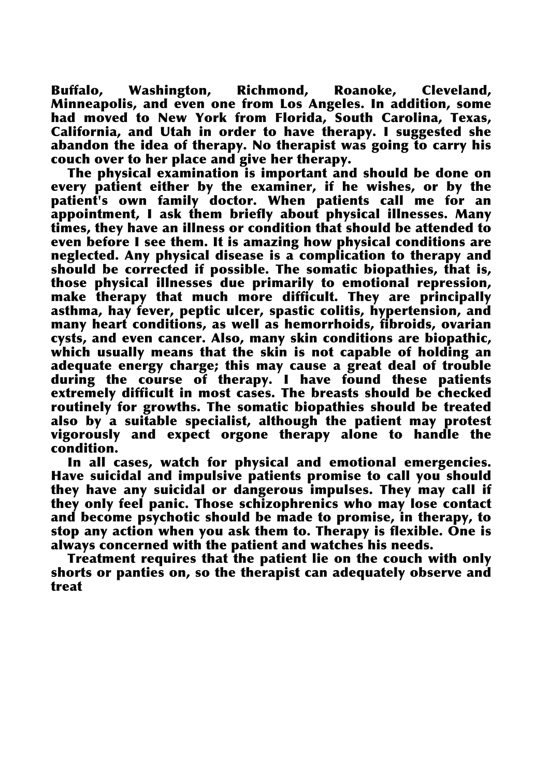Buffalo, Washington, Richmond, Roanoke, Cleveland, Minneapolis, and even one from Los Angeles. In addition, some had moved to New York from Florida, South Carolina, Texas, California, and Utah in order to have therapy. I suggested she abandon the idea of therapy. No therapist was going to carry his couch over to her place and give her therapy.

The physical examination is important and should be done on every patient either by the examiner, if he wishes, or by the patient's own family doctor. When patients call me for an appointment, I ask them briefly about physical illnesses. Many times, they have an illness or condition that should be attended to even before I see them. It is amazing how physical conditions are neglected. Any physical disease is a complication to therapy and should be corrected if possible. The somatic biopathies, that is, those physical illnesses due primarily to emotional repression, make therapy that much more difficult. They are principally asthma, hay fever, peptic ulcer, spastic colitis, hypertension, and many heart conditions, as well as hemorrhoids, fibroids, ovarian cysts, and even cancer. Also, many skin conditions are biopathic, which usually means that the skin is not capable of holding an adequate energy charge; this may cause a great deal of trouble during the course of therapy. I have found these patients extremely difficult in most cases. The breasts should be checked routinely for growths. The somatic biopathies should be treated also by a suitable specialist, although the patient may protest vigorously and expect orgone therapy alone to handle the condition.

In all cases, watch for physical and emotional emergencies. Have suicidal and impulsive patients promise to call you should they have any suicidal or dangerous impulses. They may call if they only feel panic. Those schizophrenics who may lose contact and become psychotic should be made to promise, in therapy, to stop any action when you ask them to. Therapy is flexible. One is always concerned with the patient and watches his needs.

Treatment requires that the patient lie on the couch with only shorts or panties on, so the therapist can adequately observe and treat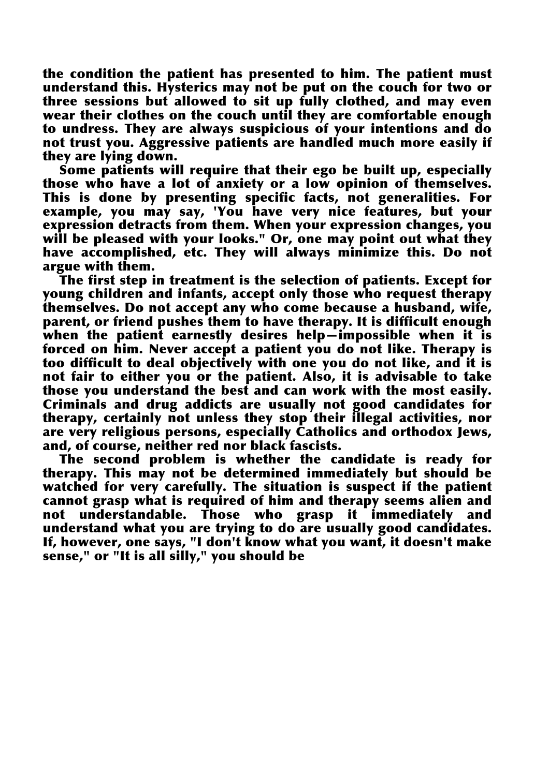the condition the patient has presented to him. The patient must understand this. Hysterics may not be put on the couch for two or three sessions but allowed to sit up fully clothed, and may even wear their clothes on the couch until they are comfortable enough to undress. They are always suspicious of your intentions and do not trust you. Aggressive patients are handled much more easily if they are lying down.

Some patients will require that their ego be built up, especially those who have a lot of anxiety or a low opinion of themselves. This is done by presenting specific facts, not generalities. For example, you may say, 'You have very nice features, but your expression detracts from them. When your expression changes, you will be pleased with your looks." Or, one may point out what they have accomplished, etc. They will always minimize this. Do not argue with them.

The first step in treatment is the selection of patients. Except for young children and infants, accept only those who request therapy themselves. Do not accept any who come because a husband, wife, parent, or friend pushes them to have therapy. It is difficult enough when the patient earnestly desires help-impossible when it is forced on him. Never accept a patient you do not like. Therapy is too difficult to deal objectively with one you do not like, and it is not fair to either you or the patient. Also, it is advisable to take those you understand the best and can work with the most easily. Criminals and drug addicts are usually not good candidates for therapy, certainly not unless they stop their illegal activities, nor are very religious persons, especially Catholics and orthodox Jews, and, of course, neither red nor black fascists.

The second problem is whether the candidate is ready for therapy. This may not be determined immediately but should be watched for very carefully. The situation is suspect if the patient cannot grasp what is required of him and therapy seems alien and not understandable. Those who grasp it immediately and understand what you are trying to do are usually good candidates. If, however, one says, "I don't know what you want, it doesn't make sense," or "It is all silly," you should be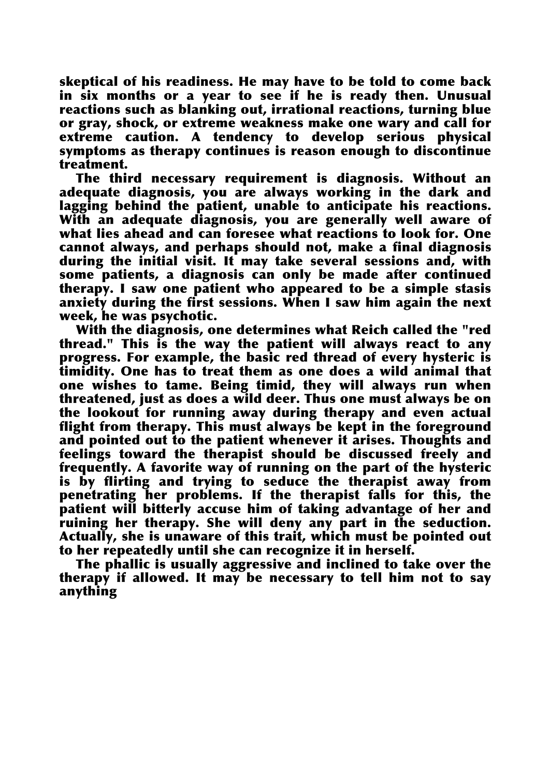skeptical of his readiness. He may have to be told to come back in six months or a year to see if he is ready then. Unusual reactions such as blanking out, irrational reactions, turning blue or gray, shock, or extreme weakness make one wary and call for extreme caution. A tendency to develop serious physical symptoms as therapy continues is reason enough to discontinue treatment.

The third necessary requirement is diagnosis. Without an adequate diagnosis, you are always working in the dark and lagging behind the patient, unable to anticipate his reactions. With an adequate diagnosis, you are generally well aware of what lies ahead and can foresee what reactions to look for. One cannot always, and perhaps should not, make a final diagnosis during the initial visit. It may take several sessions and, with some patients, a diagnosis can only be made after continued therapy. I saw one patient who appeared to be a simple stasis anxiety during the first sessions. When I saw him again the next week, he was psychotic.

With the diagnosis, one determines what Reich called the "red thread." This is the way the patient will always react to any progress. For example, the basic red thread of every hysteric is timidity. One has to treat them as one does a wild animal that one wishes to tame. Being timid, they will always run when threatened, just as does a wild deer. Thus one must always be on the lookout for running away during therapy and even actual flight from therapy. This must always be kept in the foreground and pointed out to the patient whenever it arises. Thoughts and feelings toward the therapist should be discussed freely and frequently. A favorite way of running on the part of the hysteric is by flirting and trying to seduce the therapist away from penetrating her problems. If the therapist falls for this, the patient will bitterly accuse him of taking advantage of her and ruining her therapy. She will deny any part in the seduction. Actually, she is unaware of this trait, which must be pointed out to her repeatedly until she can recognize it in herself.

The phallic is usually aggressive and inclined to take over the therapy if allowed. It may be necessary to tell him not to say anything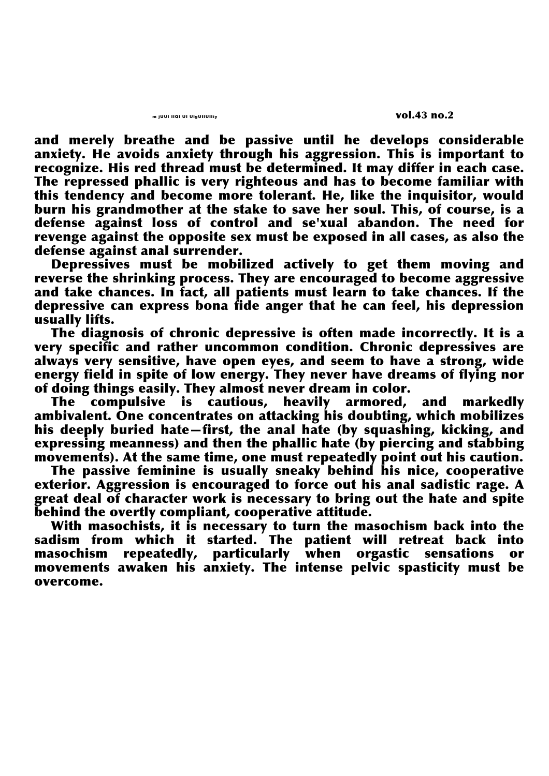and merely breathe and be passive until he develops considerable anxiety. He avoids anxiety through his aggression. This is important to recognize. His red thread must be determined. It may differ in each case. The repressed phallic is very righteous and has to become familiar with this tendency and become more tolerant. He, like the inquisitor, would burn his grandmother at the stake to save her soul. This, of course, is a defense against loss of control and se'xual abandon. The need for revenge against the opposite sex must be exposed in all cases, as also the defense against anal surrender.

Depressives must be mobilized actively to get them moving and reverse the shrinking process. They are encouraged to become aggressive and take chances. In fact, all patients must learn to take chances. If the depressive can express bona fide anger that he can feel, his depression usually lifts.

The diagnosis of chronic depressive is often made incorrectly. It is a very specific and rather uncommon condition. Chronic depressives are always very sensitive, have open eyes, and seem to have a strong, wide energy field in spite of low energy. They never have dreams of flying nor of doing things easily. They almost never dream in color.

The compulsive is cautious, heavily armored, and markedly ambivalent. One concentrates on attacking his doubting, which mobilizes his deeply buried hate—first, the anal hate (by squashing, kicking, and expressing meanness) and then the phallic hate (by piercing and stabbing movements). At the same time, one must repeatedly point out his caution.

The passive feminine is usually sneaky behind his nice, cooperative exterior. Aggression is encouraged to force out his anal sadistic rage. A great deal of character work is necessary to bring out the hate and spite behind the overtly compliant, cooperative attitude.

With masochists, it is necessary to turn the masochism back into the sadism from which it started. The patient will retreat back into masochism repeatedly, particularly when orgastic sensations or movements awaken his anxiety. The intense pelvic spasticity must be overcome.

m juul IIQI UI UIgUIIUIIiy vol.43 no.2